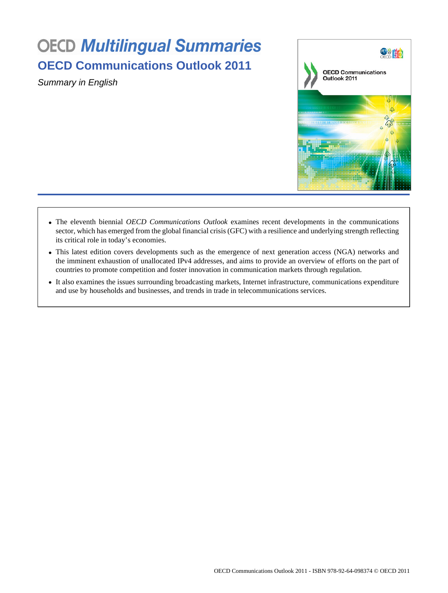# **OECD Multilingual Summaries OECD Communications Outlook 2011**

Summary in English



- The eleventh biennial *OECD Communications Outlook* examines recent developments in the communications sector, which has emerged from the global financial crisis (GFC) with a resilience and underlying strength reflecting its critical role in today's economies.
- This latest edition covers developments such as the emergence of next generation access (NGA) networks and the imminent exhaustion of unallocated IPv4 addresses, and aims to provide an overview of efforts on the part of countries to promote competition and foster innovation in communication markets through regulation.
- It also examines the issues surrounding broadcasting markets, Internet infrastructure, communications expenditure and use by households and businesses, and trends in trade in telecommunications services.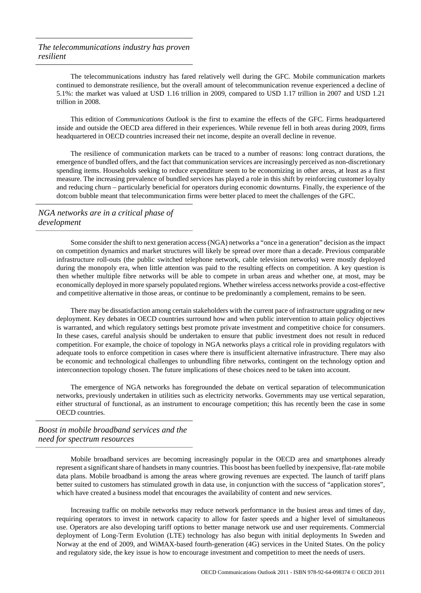## *The telecommunications industry has proven resilient*

The telecommunications industry has fared relatively well during the GFC. Mobile communication markets continued to demonstrate resilience, but the overall amount of telecommunication revenue experienced a decline of 5.1%: the market was valued at USD 1.16 trillion in 2009, compared to USD 1.17 trillion in 2007 and USD 1.21 trillion in 2008.

This edition of *Communications Outlook* is the first to examine the effects of the GFC. Firms headquartered inside and outside the OECD area differed in their experiences. While revenue fell in both areas during 2009, firms headquartered in OECD countries increased their net income, despite an overall decline in revenue.

The resilience of communication markets can be traced to a number of reasons: long contract durations, the emergence of bundled offers, and the fact that communication services are increasingly perceived as non-discretionary spending items. Households seeking to reduce expenditure seem to be economizing in other areas, at least as a first measure. The increasing prevalence of bundled services has played a role in this shift by reinforcing customer loyalty and reducing churn – particularly beneficial for operators during economic downturns. Finally, the experience of the dotcom bubble meant that telecommunication firms were better placed to meet the challenges of the GFC.

# *NGA networks are in a critical phase of development*

Some consider the shift to next generation access (NGA) networks a "once in a generation" decision as the impact on competition dynamics and market structures will likely be spread over more than a decade. Previous comparable infrastructure roll-outs (the public switched telephone network, cable television networks) were mostly deployed during the monopoly era, when little attention was paid to the resulting effects on competition. A key question is then whether multiple fibre networks will be able to compete in urban areas and whether one, at most, may be economically deployed in more sparsely populated regions. Whether wireless access networks provide a cost-effective and competitive alternative in those areas, or continue to be predominantly a complement, remains to be seen.

There may be dissatisfaction among certain stakeholders with the current pace of infrastructure upgrading or new deployment. Key debates in OECD countries surround how and when public intervention to attain policy objectives is warranted, and which regulatory settings best promote private investment and competitive choice for consumers. In these cases, careful analysis should be undertaken to ensure that public investment does not result in reduced competition. For example, the choice of topology in NGA networks plays a critical role in providing regulators with adequate tools to enforce competition in cases where there is insufficient alternative infrastructure. There may also be economic and technological challenges to unbundling fibre networks, contingent on the technology option and interconnection topology chosen. The future implications of these choices need to be taken into account.

The emergence of NGA networks has foregrounded the debate on vertical separation of telecommunication networks, previously undertaken in utilities such as electricity networks. Governments may use vertical separation, either structural of functional, as an instrument to encourage competition; this has recently been the case in some OECD countries.

*Boost in mobile broadband services and the need for spectrum resources*

> Mobile broadband services are becoming increasingly popular in the OECD area and smartphones already represent a significant share of handsets in many countries. This boost has been fuelled by inexpensive, flat-rate mobile data plans. Mobile broadband is among the areas where growing revenues are expected. The launch of tariff plans better suited to customers has stimulated growth in data use, in conjunction with the success of "application stores", which have created a business model that encourages the availability of content and new services.

> Increasing traffic on mobile networks may reduce network performance in the busiest areas and times of day, requiring operators to invest in network capacity to allow for faster speeds and a higher level of simultaneous use. Operators are also developing tariff options to better manage network use and user requirements. Commercial deployment of Long-Term Evolution (LTE) technology has also begun with initial deployments In Sweden and Norway at the end of 2009, and WiMAX-based fourth-generation (4G) services in the United States. On the policy and regulatory side, the key issue is how to encourage investment and competition to meet the needs of users.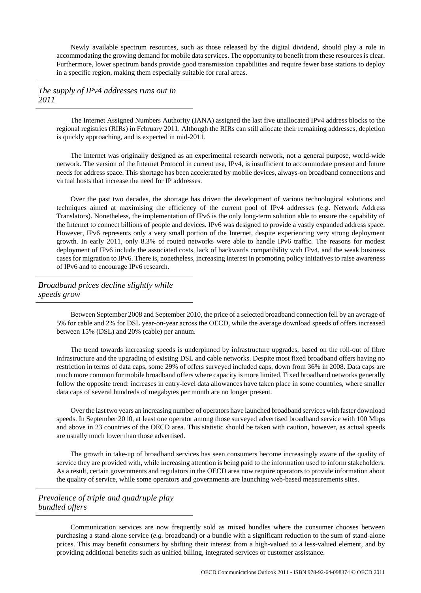Newly available spectrum resources, such as those released by the digital dividend, should play a role in accommodating the growing demand for mobile data services. The opportunity to benefit from these resources is clear. Furthermore, lower spectrum bands provide good transmission capabilities and require fewer base stations to deploy in a specific region, making them especially suitable for rural areas.

*The supply of IPv4 addresses runs out in 2011*

> The Internet Assigned Numbers Authority (IANA) assigned the last five unallocated IPv4 address blocks to the regional registries (RIRs) in February 2011. Although the RIRs can still allocate their remaining addresses, depletion is quickly approaching, and is expected in mid-2011.

> The Internet was originally designed as an experimental research network, not a general purpose, world-wide network. The version of the Internet Protocol in current use, IPv4, is insufficient to accommodate present and future needs for address space. This shortage has been accelerated by mobile devices, always-on broadband connections and virtual hosts that increase the need for IP addresses.

> Over the past two decades, the shortage has driven the development of various technological solutions and techniques aimed at maximising the efficiency of the current pool of IPv4 addresses (e.g. Network Address Translators). Nonetheless, the implementation of IPv6 is the only long-term solution able to ensure the capability of the Internet to connect billions of people and devices. IPv6 was designed to provide a vastly expanded address space. However, IPv6 represents only a very small portion of the Internet, despite experiencing very strong deployment growth. In early 2011, only 8.3% of routed networks were able to handle IPv6 traffic. The reasons for modest deployment of IPv6 include the associated costs, lack of backwards compatibility with IPv4, and the weak business cases for migration to IPv6. There is, nonetheless, increasing interest in promoting policy initiatives to raise awareness of IPv6 and to encourage IPv6 research.

*Broadband prices decline slightly while speeds grow*

> Between September 2008 and September 2010, the price of a selected broadband connection fell by an average of 5% for cable and 2% for DSL year-on-year across the OECD, while the average download speeds of offers increased between 15% (DSL) and 20% (cable) per annum.

> The trend towards increasing speeds is underpinned by infrastructure upgrades, based on the roll-out of fibre infrastructure and the upgrading of existing DSL and cable networks. Despite most fixed broadband offers having no restriction in terms of data caps, some 29% of offers surveyed included caps, down from 36% in 2008. Data caps are much more common for mobile broadband offers where capacity is more limited. Fixed broadband networks generally follow the opposite trend: increases in entry-level data allowances have taken place in some countries, where smaller data caps of several hundreds of megabytes per month are no longer present.

> Over the last two years an increasing number of operators have launched broadband services with faster download speeds. In September 2010, at least one operator among those surveyed advertised broadband service with 100 Mbps and above in 23 countries of the OECD area. This statistic should be taken with caution, however, as actual speeds are usually much lower than those advertised.

> The growth in take-up of broadband services has seen consumers become increasingly aware of the quality of service they are provided with, while increasing attention is being paid to the information used to inform stakeholders. As a result, certain governments and regulators in the OECD area now require operators to provide information about the quality of service, while some operators and governments are launching web-based measurements sites.

*Prevalence of triple and quadruple play bundled offers*

> Communication services are now frequently sold as mixed bundles where the consumer chooses between purchasing a stand-alone service (*e.g.* broadband) or a bundle with a significant reduction to the sum of stand-alone prices. This may benefit consumers by shifting their interest from a high-valued to a less-valued element, and by providing additional benefits such as unified billing, integrated services or customer assistance.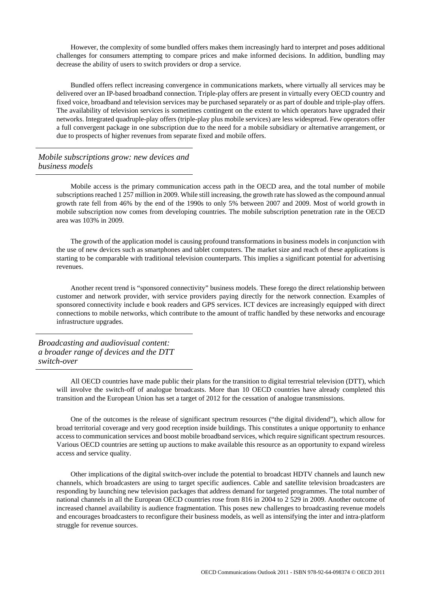However, the complexity of some bundled offers makes them increasingly hard to interpret and poses additional challenges for consumers attempting to compare prices and make informed decisions. In addition, bundling may decrease the ability of users to switch providers or drop a service.

Bundled offers reflect increasing convergence in communications markets, where virtually all services may be delivered over an IP-based broadband connection. Triple-play offers are present in virtually every OECD country and fixed voice, broadband and television services may be purchased separately or as part of double and triple-play offers. The availability of television services is sometimes contingent on the extent to which operators have upgraded their networks. Integrated quadruple-play offers (triple-play plus mobile services) are less widespread. Few operators offer a full convergent package in one subscription due to the need for a mobile subsidiary or alternative arrangement, or due to prospects of higher revenues from separate fixed and mobile offers.

## *Mobile subscriptions grow: new devices and business models*

Mobile access is the primary communication access path in the OECD area, and the total number of mobile subscriptions reached 1 257 million in 2009. While still increasing, the growth rate has slowed as the compound annual growth rate fell from 46% by the end of the 1990s to only 5% between 2007 and 2009. Most of world growth in mobile subscription now comes from developing countries. The mobile subscription penetration rate in the OECD area was 103% in 2009.

The growth of the application model is causing profound transformations in business models in conjunction with the use of new devices such as smartphones and tablet computers. The market size and reach of these applications is starting to be comparable with traditional television counterparts. This implies a significant potential for advertising revenues.

Another recent trend is "sponsored connectivity" business models. These forego the direct relationship between customer and network provider, with service providers paying directly for the network connection. Examples of sponsored connectivity include e book readers and GPS services. ICT devices are increasingly equipped with direct connections to mobile networks, which contribute to the amount of traffic handled by these networks and encourage infrastructure upgrades.

*Broadcasting and audiovisual content: a broader range of devices and the DTT switch-over*

> All OECD countries have made public their plans for the transition to digital terrestrial television (DTT), which will involve the switch-off of analogue broadcasts. More than 10 OECD countries have already completed this transition and the European Union has set a target of 2012 for the cessation of analogue transmissions.

> One of the outcomes is the release of significant spectrum resources ("the digital dividend"), which allow for broad territorial coverage and very good reception inside buildings. This constitutes a unique opportunity to enhance access to communication services and boost mobile broadband services, which require significant spectrum resources. Various OECD countries are setting up auctions to make available this resource as an opportunity to expand wireless access and service quality.

> Other implications of the digital switch-over include the potential to broadcast HDTV channels and launch new channels, which broadcasters are using to target specific audiences. Cable and satellite television broadcasters are responding by launching new television packages that address demand for targeted programmes. The total number of national channels in all the European OECD countries rose from 816 in 2004 to 2 529 in 2009. Another outcome of increased channel availability is audience fragmentation. This poses new challenges to broadcasting revenue models and encourages broadcasters to reconfigure their business models, as well as intensifying the inter and intra-platform struggle for revenue sources.